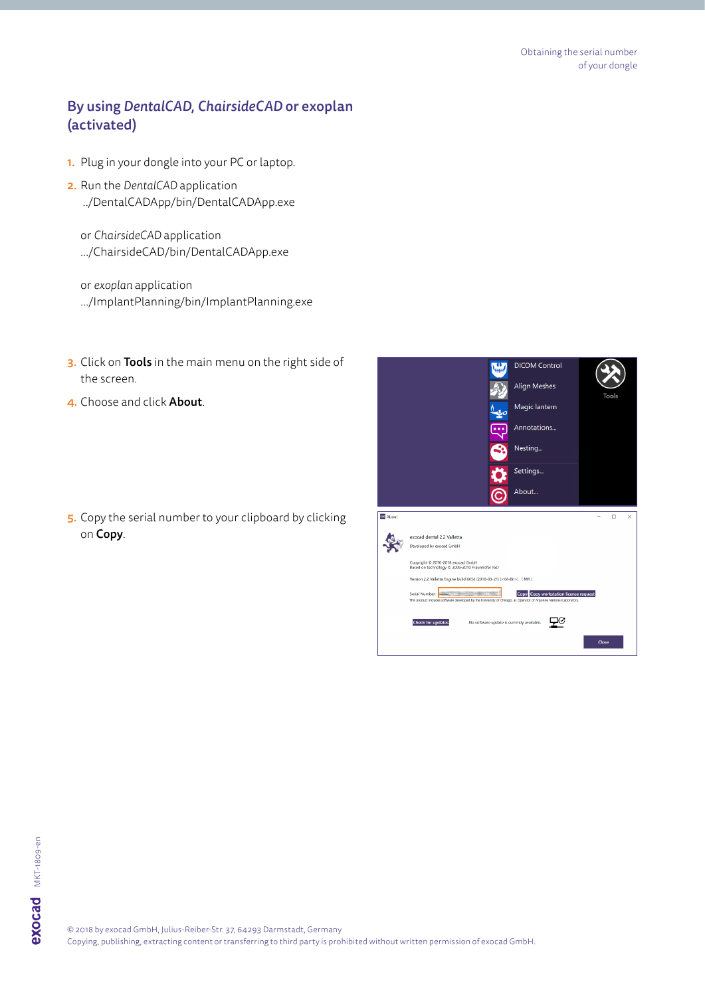## By using *DentalCAD*, *ChairsideCAD* or exoplan (activated)

- 1. Plug in your dongle into your PC or laptop.
- 2. Run the *DentalCAD* application ../DentalCADApp/bin/DentalCADApp.exe

or *ChairsideCAD* application .../ChairsideCAD/bin/DentalCADApp.exe

or *exoplan* application .../ImplantPlanning/bin/ImplantPlanning.exe

- 3. Click on Tools in the main menu on the right side of the screen.
- 4. Choose and click About.

5. Copy the serial number to your clipboard by clicking on Copy.